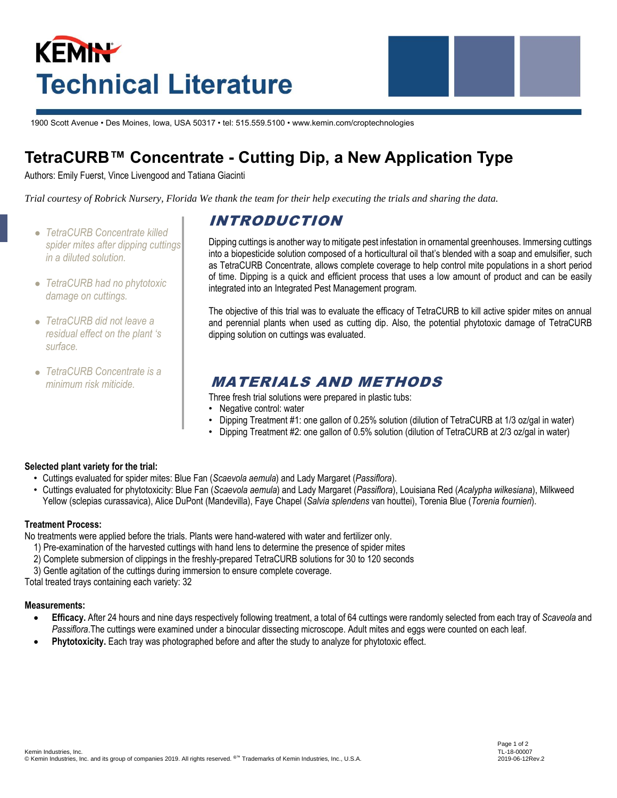# **KEMIN Technical Literature**



1900 Scott Avenue • Des Moines, Iowa, USA 50317 • tel: 515.559.5100 • www.kemin.com/croptechnologies

# **TetraCURB™ Concentrate - Cutting Dip, a New Application Type**

Authors: Emily Fuerst, Vince Livengood and Tatiana Giacinti

*Trial courtesy of Robrick Nursery, Florida We thank the team for their help executing the trials and sharing the data.*

- *TetraCURB Concentrate killed spider mites after dipping cuttings in a diluted solution.*
- *TetraCURB had no phytotoxic damage on cuttings.*
- *TetraCURB did not leave a residual effect on the plant 's surface.*
- *TetraCURB Concentrate is a minimum risk miticide.*

# INTRODUCTION

Dipping cuttings is another way to mitigate pest infestation in ornamental greenhouses. Immersing cuttings into a biopesticide solution composed of a horticultural oil that's blended with a soap and emulsifier, such as TetraCURB Concentrate, allows complete coverage to help control mite populations in a short period of time. Dipping is a quick and efficient process that uses a low amount of product and can be easily integrated into an Integrated Pest Management program.

The objective of this trial was to evaluate the efficacy of TetraCURB to kill active spider mites on annual and perennial plants when used as cutting dip. Also, the potential phytotoxic damage of TetraCURB dipping solution on cuttings was evaluated.

## MATERIALS AND METHODS

- Three fresh trial solutions were prepared in plastic tubs:
- Negative control: water
- Dipping Treatment #1: one gallon of 0.25% solution (dilution of TetraCURB at 1/3 oz/gal in water)
- Dipping Treatment #2: one gallon of 0.5% solution (dilution of TetraCURB at 2/3 oz/gal in water)

#### **Selected plant variety for the trial:**

- Cuttings evaluated for spider mites: Blue Fan (*Scaevola aemula*) and Lady Margaret (*Passiflora*).
- Cuttings evaluated for phytotoxicity: Blue Fan (*Scaevola aemula*) and Lady Margaret (*Passiflora*), Louisiana Red (*Acalypha wilkesiana*), Milkweed Yellow (sclepias curassavica), Alice DuPont (Mandevilla), Faye Chapel (*Salvia splendens* van houttei), Torenia Blue (*Torenia fournieri*).

#### **Treatment Process:**

No treatments were applied before the trials. Plants were hand-watered with water and fertilizer only.

- 1) Pre-examination of the harvested cuttings with hand lens to determine the presence of spider mites
- 2) Complete submersion of clippings in the freshly-prepared TetraCURB solutions for 30 to 120 seconds
- 3) Gentle agitation of the cuttings during immersion to ensure complete coverage.

Total treated trays containing each variety: 32

#### **Measurements:**

- **Efficacy.** After 24 hours and nine days respectively following treatment, a total of 64 cuttings were randomly selected from each tray of *Scaveola* and *Passiflora*.The cuttings were examined under a binocular dissecting microscope. Adult mites and eggs were counted on each leaf.
- **Phytotoxicity.** Each tray was photographed before and after the study to analyze for phytotoxic effect.